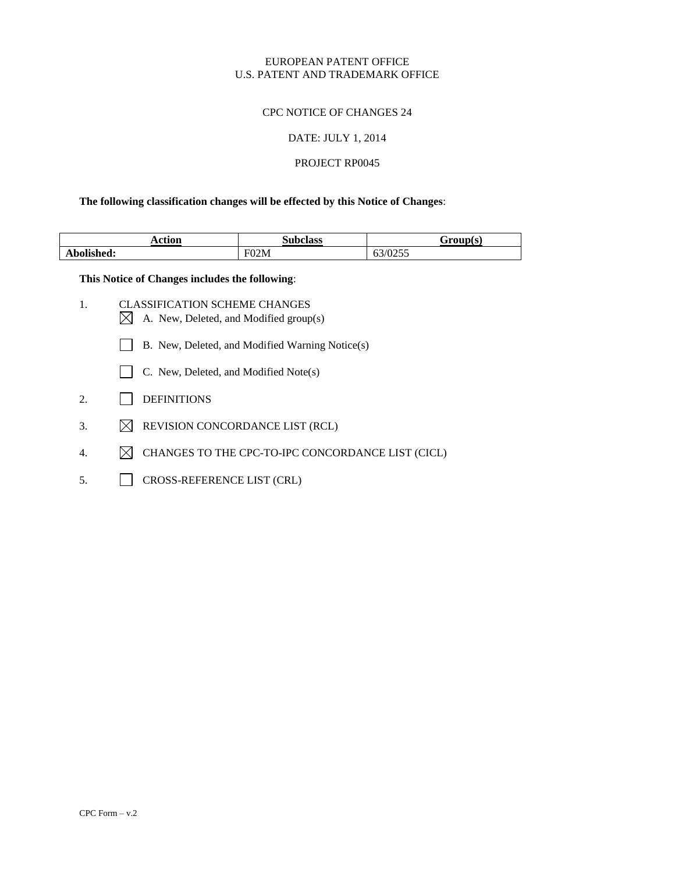#### CPC NOTICE OF CHANGES 24

#### DATE: JULY 1, 2014

## PROJECT RP0045

### **The following classification changes will be effected by this Notice of Changes**:

| . .<br>otiov<br>Acuon | Subclass | Eraun(c)        |
|-----------------------|----------|-----------------|
| $\blacksquare$        | 02M      | 10255           |
| Abolished:            | ыL       | 0 <i>3/0233</i> |

**This Notice of Changes includes the following**:

- 1. CLASSIFICATION SCHEME CHANGES  $\boxtimes$  A. New, Deleted, and Modified group(s)
	- B. New, Deleted, and Modified Warning Notice(s)
	- C. New, Deleted, and Modified Note(s)
- 2. DEFINITIONS
- 3.  $\boxtimes$  REVISION CONCORDANCE LIST (RCL)
- 4.  $\boxtimes$  CHANGES TO THE CPC-TO-IPC CONCORDANCE LIST (CICL)
- 5. CROSS-REFERENCE LIST (CRL)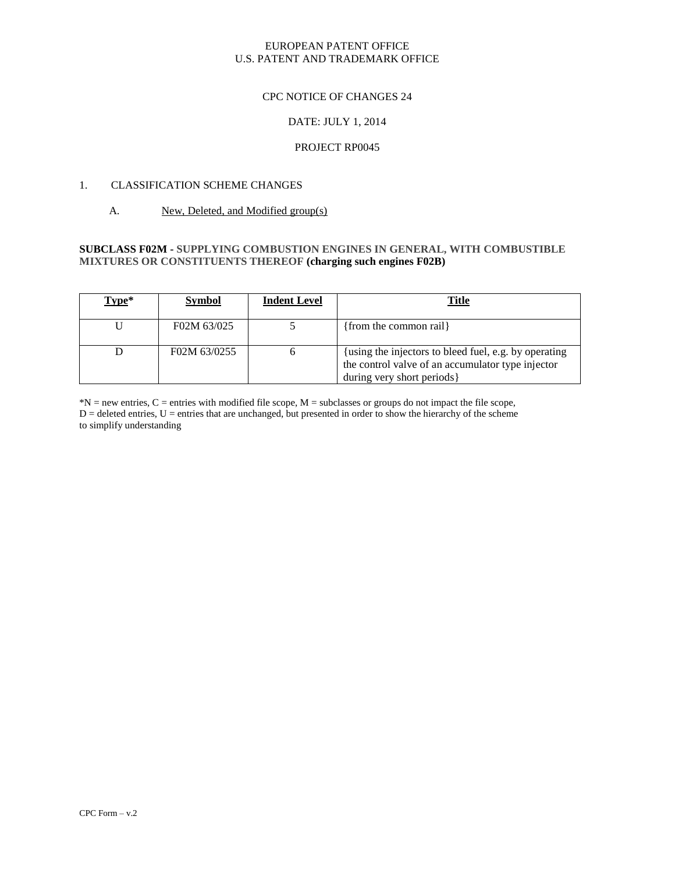#### CPC NOTICE OF CHANGES 24

## DATE: JULY 1, 2014

### PROJECT RP0045

## 1. CLASSIFICATION SCHEME CHANGES

#### A. New, Deleted, and Modified group(s)

### **SUBCLASS F02M - SUPPLYING COMBUSTION ENGINES IN GENERAL, WITH COMBUSTIBLE MIXTURES OR CONSTITUENTS THEREOF (charging such engines [F02B\)](http://ptoweb:8081/cpc/html/cpc-F02B.html)**

| Type* | <b>Symbol</b> | <b>Indent Level</b> | <u>Title</u>                                                                                                                            |
|-------|---------------|---------------------|-----------------------------------------------------------------------------------------------------------------------------------------|
|       | F02M 63/025   |                     | {from the common rail}                                                                                                                  |
|       | F02M 63/0255  |                     | {using the injectors to bleed fuel, e.g. by operating<br>the control valve of an accumulator type injector<br>during very short periods |

\*N = new entries, C = entries with modified file scope, M = subclasses or groups do not impact the file scope, D = deleted entries, U = entries that are unchanged, but presented in order to show the hierarchy of the scheme to simplify understanding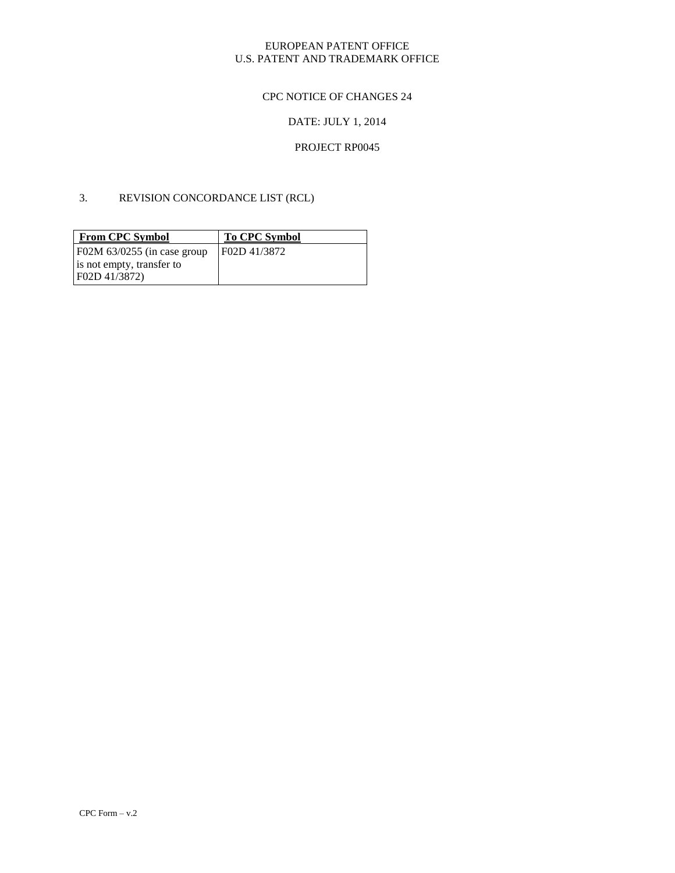# CPC NOTICE OF CHANGES 24

# DATE: JULY 1, 2014

## PROJECT RP0045

### 3. REVISION CONCORDANCE LIST (RCL)

| <b>From CPC Symbol</b>        | <b>To CPC Symbol</b> |
|-------------------------------|----------------------|
| F02M $63/0255$ (in case group | F02D 41/3872         |
| is not empty, transfer to     |                      |
| F02D 41/3872)                 |                      |